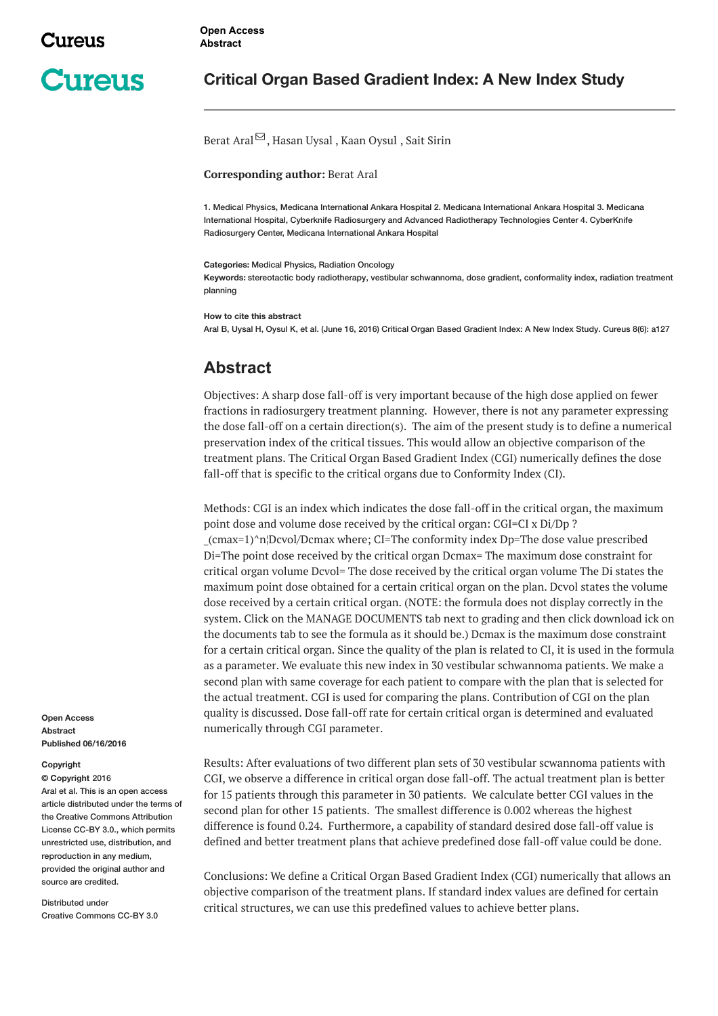# **Cureus**

### **Critical Organ Based Gradient Index: A New Index Study**

#### [Berat](http://www.cureus.com/users/29097-berat-aral) Aral $\mathfrak{S}$ , [Hasan](http://www.cureus.com/users/29419-hasan-uysal) Uysal, Kaan [Oysul](http://www.cureus.com/users/422-kaan-oysul), Sait [Sirin](http://www.cureus.com/users/29420-sait-sirin)

#### **Corresponding author:** Berat Aral

1. Medical Physics, Medicana International Ankara Hospital 2. Medicana International Ankara Hospital 3. Medicana International Hospital, Cyberknife Radiosurgery and Advanced Radiotherapy Technologies Center 4. CyberKnife Radiosurgery Center, Medicana International Ankara Hospital

**Categories:** Medical Physics, Radiation Oncology

**Keywords:** stereotactic body radiotherapy, vestibular schwannoma, dose gradient, conformality index, radiation treatment planning

**How to cite this abstract**

Aral B, Uysal H, Oysul K, et al. (June 16, 2016) Critical Organ Based Gradient Index: A New Index Study. Cureus 8(6): a127

## **Abstract**

Objectives: A sharp dose fall-off is very important because of the high dose applied on fewer fractions in radiosurgery treatment planning. However, there is not any parameter expressing the dose fall-off on a certain direction(s). The aim of the present study is to define a numerical preservation index of the critical tissues. This would allow an objective comparison of the treatment plans. The Critical Organ Based Gradient Index (CGI) numerically defines the dose fall-off that is specific to the critical organs due to Conformity Index (CI).

Methods: CGI is an index which indicates the dose fall-off in the critical organ, the maximum point dose and volume dose received by the critical organ: CGI=CI x Di/Dp ? \_(cmax=1)^n¦Dcvol/Dcmax where; CI=The conformity index Dp=The dose value prescribed Di=The point dose received by the critical organ Dcmax= The maximum dose constraint for critical organ volume Dcvol= The dose received by the critical organ volume The Di states the maximum point dose obtained for a certain critical organ on the plan. Dcvol states the volume dose received by a certain critical organ. (NOTE: the formula does not display correctly in the system. Click on the MANAGE DOCUMENTS tab next to grading and then click download ick on the documents tab to see the formula as it should be.) Dcmax is the maximum dose constraint for a certain critical organ. Since the quality of the plan is related to CI, it is used in the formula as a parameter. We evaluate this new index in 30 vestibular schwannoma patients. We make a second plan with same coverage for each patient to compare with the plan that is selected for the actual treatment. CGI is used for comparing the plans. Contribution of CGI on the plan quality is discussed. Dose fall-off rate for certain critical organ is determined and evaluated numerically through CGI parameter.

Results: After evaluations of two different plan sets of 30 vestibular scwannoma patients with CGI, we observe a difference in critical organ dose fall-off. The actual treatment plan is better for 15 patients through this parameter in 30 patients. We calculate better CGI values in the second plan for other 15 patients. The smallest difference is 0.002 whereas the highest difference is found 0.24. Furthermore, a capability of standard desired dose fall-off value is defined and better treatment plans that achieve predefined dose fall-off value could be done.

Conclusions: We define a Critical Organ Based Gradient Index (CGI) numerically that allows an objective comparison of the treatment plans. If standard index values are defined for certain critical structures, we can use this predefined values to achieve better plans.

**Open Access Abstract Published 06/16/2016**

#### **Copyright**

**© Copyright** 2016 Aral et al. This is an open access article distributed under the terms of the Creative Commons Attribution License CC-BY 3.0., which permits unrestricted use, distribution, and reproduction in any medium, provided the original author and source are credited.

Distributed under Creative Commons CC-BY 3.0